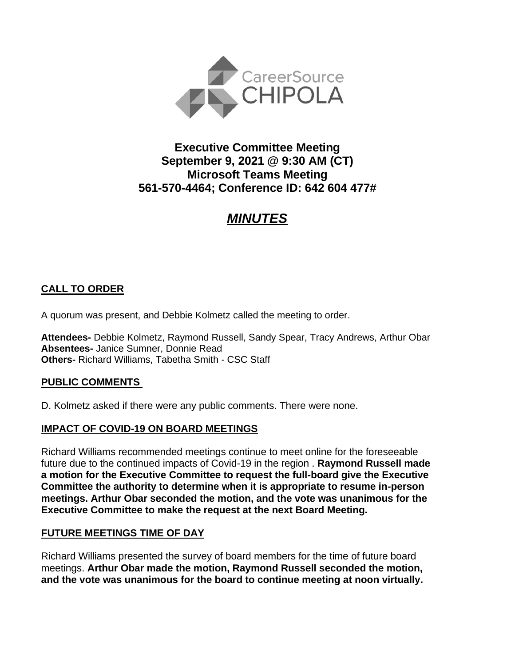

## **Executive Committee Meeting September 9, 2021 @ 9:30 AM (CT) Microsoft Teams Meeting 561-570-4464; Conference ID: 642 604 477#**

# *MINUTES*

## **CALL TO ORDER**

A quorum was present, and Debbie Kolmetz called the meeting to order.

**Attendees-** Debbie Kolmetz, Raymond Russell, Sandy Spear, Tracy Andrews, Arthur Obar **Absentees-** Janice Sumner, Donnie Read **Others-** Richard Williams, Tabetha Smith - CSC Staff

#### **PUBLIC COMMENTS**

D. Kolmetz asked if there were any public comments. There were none.

#### **IMPACT OF COVID-19 ON BOARD MEETINGS**

Richard Williams recommended meetings continue to meet online for the foreseeable future due to the continued impacts of Covid-19 in the region . **Raymond Russell made a motion for the Executive Committee to request the full-board give the Executive Committee the authority to determine when it is appropriate to resume in-person meetings. Arthur Obar seconded the motion, and the vote was unanimous for the Executive Committee to make the request at the next Board Meeting.**

#### **FUTURE MEETINGS TIME OF DAY**

Richard Williams presented the survey of board members for the time of future board meetings. **Arthur Obar made the motion, Raymond Russell seconded the motion, and the vote was unanimous for the board to continue meeting at noon virtually.**